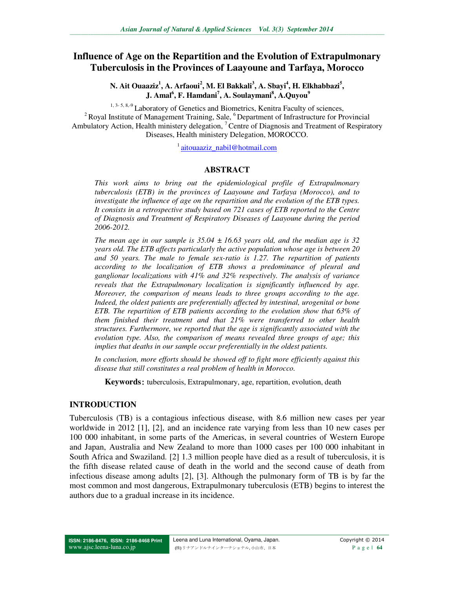# **Influence of Age on the Repartition and the Evolution of Extrapulmonary Tuberculosis in the Provinces of Laayoune and Tarfaya, Morocco**

**N. Ait Ouaaziz<sup>1</sup> , A. Arfaoui<sup>2</sup> , M. El Bakkali<sup>3</sup> , A. Sbayi<sup>4</sup> , H. Elkhabbazi<sup>5</sup> , J. Amal<sup>6</sup> , F. Hamdani<sup>7</sup> , A. Soulaymani<sup>8</sup> , A.Quyou<sup>9</sup>**

1, 3- 5, 8, 9 Laboratory of Genetics and Biometrics, Kenitra Faculty of sciences,  $2^2$  Royal Institute of Management Training, Sale,  $6$  Department of Infrastructure for Provincial Ambulatory Action, Health ministery delegation, <sup>7</sup> Centre of Diagnosis and Treatment of Respiratory Diseases, Health ministery Delegation, MOROCCO.

<sup>1</sup> aitouaaziz\_nabil@hotmail.com

#### **ABSTRACT**

*This work aims to bring out the epidemiological profile of Extrapulmonary tuberculosis (ETB) in the provinces of Laayoune and Tarfaya (Morocco), and to investigate the influence of age on the repartition and the evolution of the ETB types. It consists in a retrospective study based on 721 cases of ETB reported to the Centre of Diagnosis and Treatment of Respiratory Diseases of Laayoune during the period 2006-2012.* 

*The mean age in our sample is 35.04 ± 16.63 years old, and the median age is 32 years old. The ETB affects particularly the active population whose age is between 20 and 50 years. The male to female sex-ratio is 1.27. The repartition of patients according to the localization of ETB shows a predominance of pleural and ganglionar localizations with 41% and 32% respectively. The analysis of variance reveals that the Extrapulmonary localization is significantly influenced by age. Moreover, the comparison of means leads to three groups according to the age. Indeed, the oldest patients are preferentially affected by intestinal, urogenital or bone ETB. The repartition of ETB patients according to the evolution show that 63% of them finished their treatment and that 21% were transferred to other health structures. Furthermore, we reported that the age is significantly associated with the evolution type. Also, the comparison of means revealed three groups of age; this implies that deaths in our sample occur preferentially in the oldest patients.* 

*In conclusion, more efforts should be showed off to fight more efficiently against this disease that still constitutes a real problem of health in Morocco.* 

**Keywords**: tuberculosis, Extrapulmonary, age, repartition, evolution, death

#### **INTRODUCTION**

Tuberculosis (TB) is a contagious infectious disease, with 8.6 million new cases per year worldwide in 2012 [1], [2], and an incidence rate varying from less than 10 new cases per 100 000 inhabitant, in some parts of the Americas, in several countries of Western Europe and Japan, Australia and New Zealand to more than 1000 cases per 100 000 inhabitant in South Africa and Swaziland. [2] 1.3 million people have died as a result of tuberculosis, it is the fifth disease related cause of death in the world and the second cause of death from infectious disease among adults [2], [3]. Although the pulmonary form of TB is by far the most common and most dangerous, Extrapulmonary tuberculosis (ETB) begins to interest the authors due to a gradual increase in its incidence.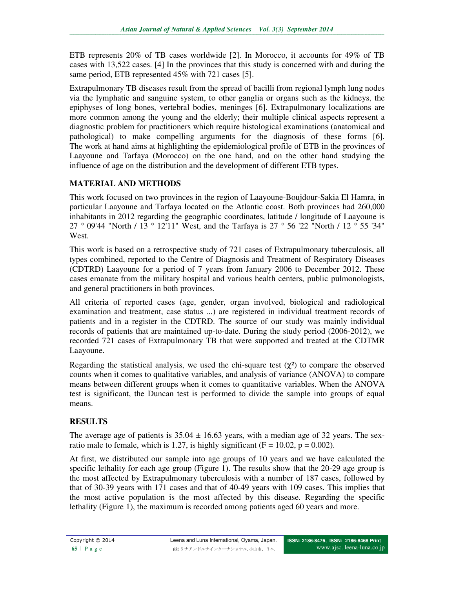ETB represents 20% of TB cases worldwide [2]. In Morocco, it accounts for 49% of TB cases with 13,522 cases. [4] In the provinces that this study is concerned with and during the same period, ETB represented 45% with 721 cases [5].

Extrapulmonary TB diseases result from the spread of bacilli from regional lymph lung nodes via the lymphatic and sanguine system, to other ganglia or organs such as the kidneys, the epiphyses of long bones, vertebral bodies, meninges [6]. Extrapulmonary localizations are more common among the young and the elderly; their multiple clinical aspects represent a diagnostic problem for practitioners which require histological examinations (anatomical and pathological) to make compelling arguments for the diagnosis of these forms [6]. The work at hand aims at highlighting the epidemiological profile of ETB in the provinces of Laayoune and Tarfaya (Morocco) on the one hand, and on the other hand studying the influence of age on the distribution and the development of different ETB types.

## **MATERIAL AND METHODS**

This work focused on two provinces in the region of Laayoune-Boujdour-Sakia El Hamra, in particular Laayoune and Tarfaya located on the Atlantic coast. Both provinces had 260,000 inhabitants in 2012 regarding the geographic coordinates, latitude / longitude of Laayoune is 27 ° 09'44 "North / 13 ° 12'11" West, and the Tarfaya is 27 ° 56 '22 "North / 12 ° 55 '34" West.

This work is based on a retrospective study of 721 cases of Extrapulmonary tuberculosis, all types combined, reported to the Centre of Diagnosis and Treatment of Respiratory Diseases (CDTRD) Laayoune for a period of 7 years from January 2006 to December 2012. These cases emanate from the military hospital and various health centers, public pulmonologists, and general practitioners in both provinces.

All criteria of reported cases (age, gender, organ involved, biological and radiological examination and treatment, case status ...) are registered in individual treatment records of patients and in a register in the CDTRD. The source of our study was mainly individual records of patients that are maintained up-to-date. During the study period (2006-2012), we recorded 721 cases of Extrapulmonary TB that were supported and treated at the CDTMR Laayoune.

Regarding the statistical analysis, we used the chi-square test  $(\chi^2)$  to compare the observed counts when it comes to qualitative variables, and analysis of variance (ANOVA) to compare means between different groups when it comes to quantitative variables. When the ANOVA test is significant, the Duncan test is performed to divide the sample into groups of equal means.

# **RESULTS**

The average age of patients is  $35.04 \pm 16.63$  years, with a median age of 32 years. The sexratio male to female, which is 1.27, is highly significant ( $F = 10.02$ ,  $p = 0.002$ ).

At first, we distributed our sample into age groups of 10 years and we have calculated the specific lethality for each age group (Figure 1). The results show that the 20-29 age group is the most affected by Extrapulmonary tuberculosis with a number of 187 cases, followed by that of 30-39 years with 171 cases and that of 40-49 years with 109 cases. This implies that the most active population is the most affected by this disease. Regarding the specific lethality (Figure 1), the maximum is recorded among patients aged 60 years and more.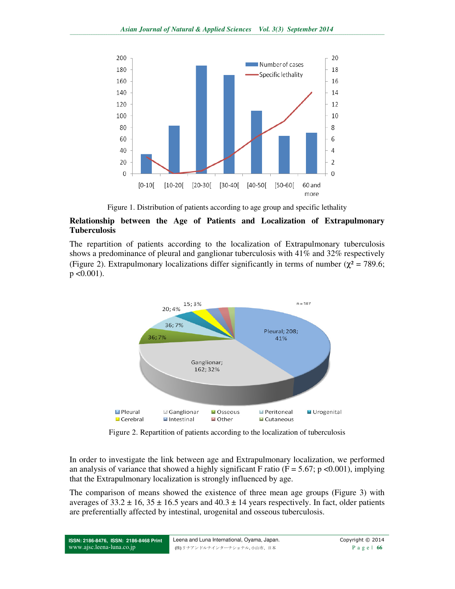

Figure 1. Distribution of patients according to age group and specific lethality

#### **Relationship between the Age of Patients and Localization of Extrapulmonary Tuberculosis**

The repartition of patients according to the localization of Extrapulmonary tuberculosis shows a predominance of pleural and ganglionar tuberculosis with 41% and 32% respectively (Figure 2). Extrapulmonary localizations differ significantly in terms of number ( $\chi^2$  = 789.6;  $p < 0.001$ ).



Figure 2. Repartition of patients according to the localization of tuberculosis

In order to investigate the link between age and Extrapulmonary localization, we performed an analysis of variance that showed a highly significant F ratio ( $F = 5.67$ ; p <0.001), implying that the Extrapulmonary localization is strongly influenced by age.

The comparison of means showed the existence of three mean age groups (Figure 3) with averages of  $33.2 \pm 16$ ,  $35 \pm 16.5$  years and  $40.3 \pm 14$  years respectively. In fact, older patients are preferentially affected by intestinal, urogenital and osseous tuberculosis.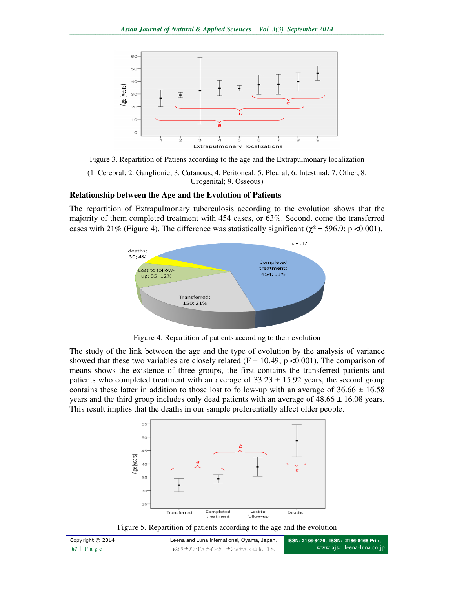

Figure 3. Repartition of Patiens according to the age and the Extrapulmonary localization (1. Cerebral; 2. Ganglionic; 3. Cutanous; 4. Peritoneal; 5. Pleural; 6. Intestinal; 7. Other; 8. Urogenital; 9. Osseous)

#### **Relationship between the Age and the Evolution of Patients**

The repartition of Extrapulmonary tuberculosis according to the evolution shows that the majority of them completed treatment with 454 cases, or 63%. Second, come the transferred cases with 21% (Figure 4). The difference was statistically significant ( $\chi^2$  = 596.9; p <0.001).



Figure 4. Repartition of patients according to their evolution

The study of the link between the age and the type of evolution by the analysis of variance showed that these two variables are closely related ( $F = 10.49$ ; p <0.001). The comparison of means shows the existence of three groups, the first contains the transferred patients and patients who completed treatment with an average of  $33.23 \pm 15.92$  years, the second group contains these latter in addition to those lost to follow-up with an average of  $36.66 \pm 16.58$ years and the third group includes only dead patients with an average of  $48.66 \pm 16.08$  years. This result implies that the deaths in our sample preferentially affect older people.



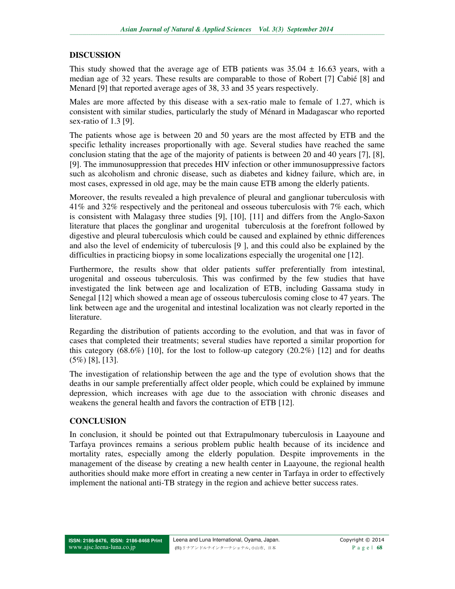### **DISCUSSION**

This study showed that the average age of ETB patients was  $35.04 \pm 16.63$  years, with a median age of 32 years. These results are comparable to those of Robert [7] Cabié [8] and Menard [9] that reported average ages of 38, 33 and 35 years respectively.

Males are more affected by this disease with a sex-ratio male to female of 1.27, which is consistent with similar studies, particularly the study of Ménard in Madagascar who reported sex-ratio of 1.3 [9].

The patients whose age is between 20 and 50 years are the most affected by ETB and the specific lethality increases proportionally with age. Several studies have reached the same conclusion stating that the age of the majority of patients is between 20 and 40 years [7], [8], [9]. The immunosuppression that precedes HIV infection or other immunosuppressive factors such as alcoholism and chronic disease, such as diabetes and kidney failure, which are, in most cases, expressed in old age, may be the main cause ETB among the elderly patients.

Moreover, the results revealed a high prevalence of pleural and ganglionar tuberculosis with 41% and 32% respectively and the peritoneal and osseous tuberculosis with 7% each, which is consistent with Malagasy three studies [9], [10], [11] and differs from the Anglo-Saxon literature that places the gonglinar and urogenital tuberculosis at the forefront followed by digestive and pleural tuberculosis which could be caused and explained by ethnic differences and also the level of endemicity of tuberculosis [9 ], and this could also be explained by the difficulties in practicing biopsy in some localizations especially the urogenital one [12].

Furthermore, the results show that older patients suffer preferentially from intestinal, urogenital and osseous tuberculosis. This was confirmed by the few studies that have investigated the link between age and localization of ETB, including Gassama study in Senegal [12] which showed a mean age of osseous tuberculosis coming close to 47 years. The link between age and the urogenital and intestinal localization was not clearly reported in the literature.

Regarding the distribution of patients according to the evolution, and that was in favor of cases that completed their treatments; several studies have reported a similar proportion for this category (68.6%) [10], for the lost to follow-up category (20.2%) [12] and for deaths (5%) [8], [13].

The investigation of relationship between the age and the type of evolution shows that the deaths in our sample preferentially affect older people, which could be explained by immune depression, which increases with age due to the association with chronic diseases and weakens the general health and favors the contraction of ETB [12].

### **CONCLUSION**

In conclusion, it should be pointed out that Extrapulmonary tuberculosis in Laayoune and Tarfaya provinces remains a serious problem public health because of its incidence and mortality rates, especially among the elderly population. Despite improvements in the management of the disease by creating a new health center in Laayoune, the regional health authorities should make more effort in creating a new center in Tarfaya in order to effectively implement the national anti-TB strategy in the region and achieve better success rates.